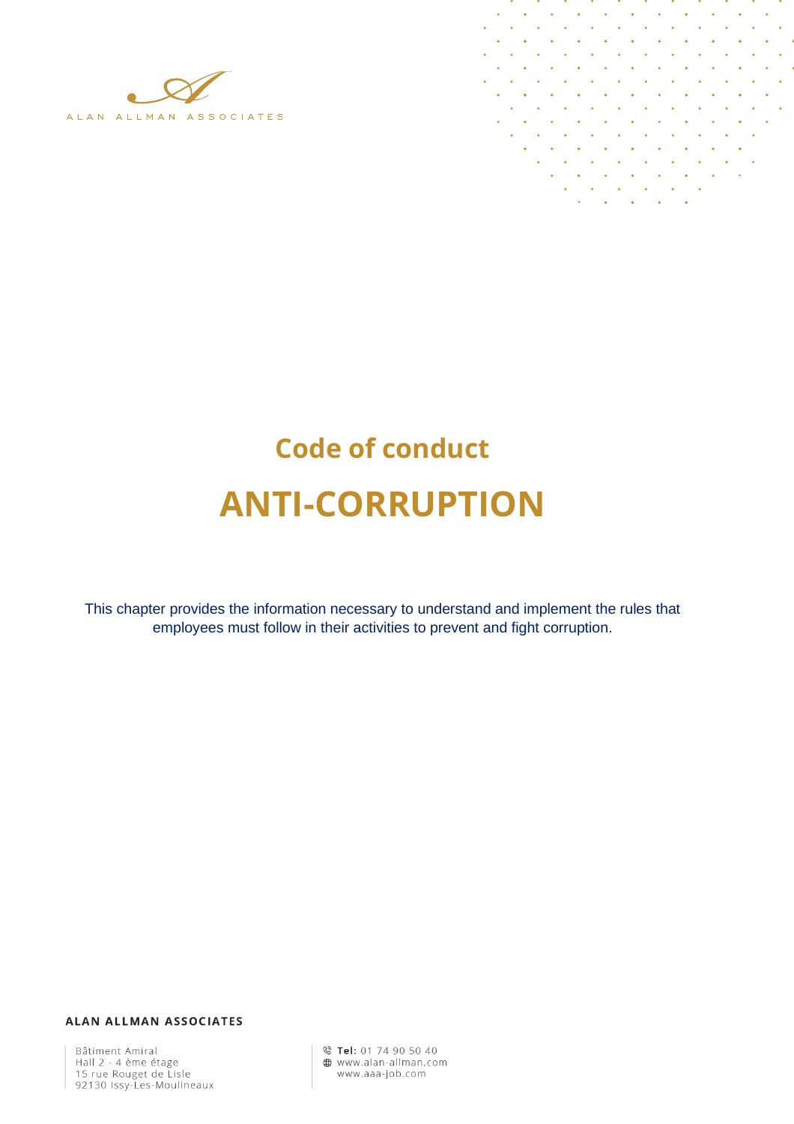

 $\ddot{\phantom{a}}$ l. J.

# **Code of conduct ANTI-CORRUPTION**

This chapter provides the information necessary to understand and implement the rules that employees must follow in their activities to prevent and fight corruption.

ALAN ALLMAN ASSOCIATES

Bâtiment Amiral<br>Hall 2 - 4 ème étage<br>15 rue Rouget de Lisle 92130 Issy-Les-Moulineaux © Tel: 01 74 90 50 40 www.alan-allman.com www.aaa-job.com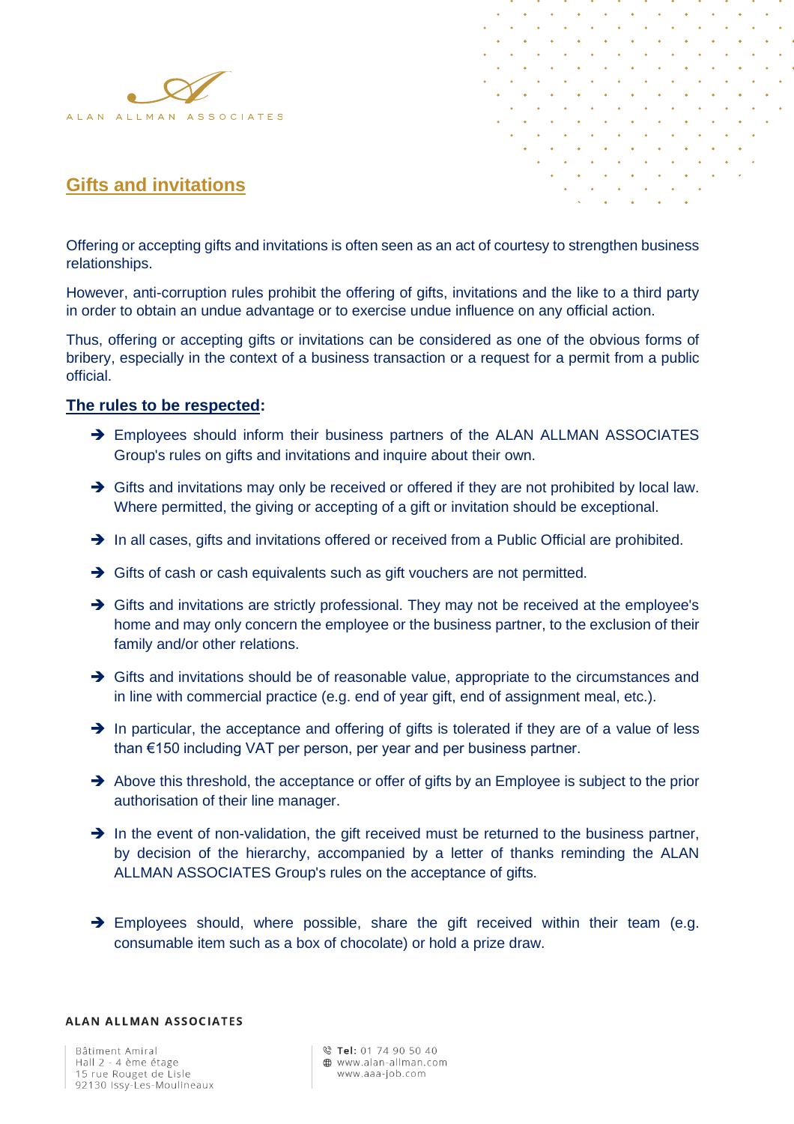



## **Gifts and invitations**

Offering or accepting gifts and invitations is often seen as an act of courtesy to strengthen business relationships.

However, anti-corruption rules prohibit the offering of gifts, invitations and the like to a third party in order to obtain an undue advantage or to exercise undue influence on any official action.

Thus, offering or accepting gifts or invitations can be considered as one of the obvious forms of bribery, especially in the context of a business transaction or a request for a permit from a public official.

#### **The rules to be respected:**

- → Employees should inform their business partners of the ALAN ALLMAN ASSOCIATES Group's rules on gifts and invitations and inquire about their own.
- → Gifts and invitations may only be received or offered if they are not prohibited by local law. Where permitted, the giving or accepting of a gift or invitation should be exceptional.
- → In all cases, gifts and invitations offered or received from a Public Official are prohibited.
- → Gifts of cash or cash equivalents such as gift vouchers are not permitted.
- → Gifts and invitations are strictly professional. They may not be received at the employee's home and may only concern the employee or the business partner, to the exclusion of their family and/or other relations.
- → Gifts and invitations should be of reasonable value, appropriate to the circumstances and in line with commercial practice (e.g. end of year gift, end of assignment meal, etc.).
- → In particular, the acceptance and offering of gifts is tolerated if they are of a value of less than €150 including VAT per person, per year and per business partner.
- ➔ Above this threshold, the acceptance or offer of gifts by an Employee is subject to the prior authorisation of their line manager.
- → In the event of non-validation, the gift received must be returned to the business partner, by decision of the hierarchy, accompanied by a letter of thanks reminding the ALAN ALLMAN ASSOCIATES Group's rules on the acceptance of gifts.
- → Employees should, where possible, share the gift received within their team (e.g. consumable item such as a box of chocolate) or hold a prize draw.

#### **ALAN ALLMAN ASSOCIATES**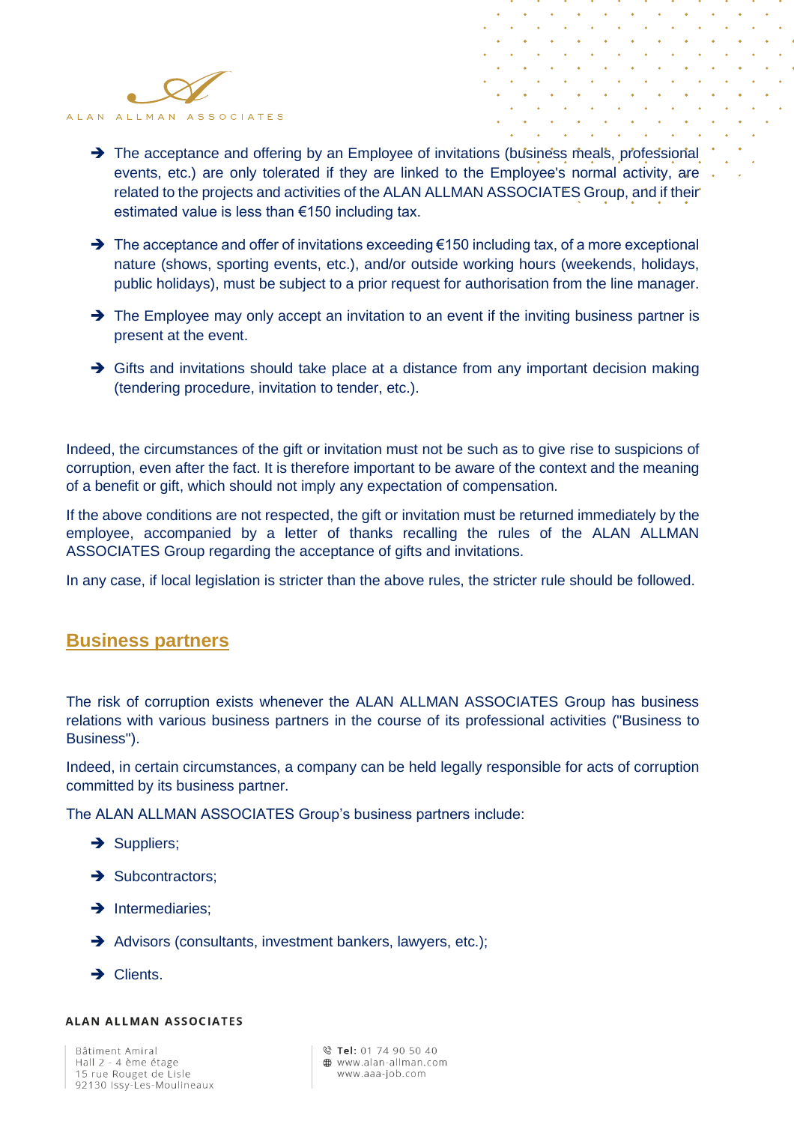

- → The acceptance and offering by an Employee of invitations (business meals, professional events, etc.) are only tolerated if they are linked to the Employee's normal activity, are related to the projects and activities of the ALAN ALLMAN ASSOCIATES Group, and if their estimated value is less than €150 including tax.
- ➔ The acceptance and offer of invitations exceeding €150 including tax, of a more exceptional nature (shows, sporting events, etc.), and/or outside working hours (weekends, holidays, public holidays), must be subject to a prior request for authorisation from the line manager.
- → The Employee may only accept an invitation to an event if the inviting business partner is present at the event.
- → Gifts and invitations should take place at a distance from any important decision making (tendering procedure, invitation to tender, etc.).

Indeed, the circumstances of the gift or invitation must not be such as to give rise to suspicions of corruption, even after the fact. It is therefore important to be aware of the context and the meaning of a benefit or gift, which should not imply any expectation of compensation.

If the above conditions are not respected, the gift or invitation must be returned immediately by the employee, accompanied by a letter of thanks recalling the rules of the ALAN ALLMAN ASSOCIATES Group regarding the acceptance of gifts and invitations.

In any case, if local legislation is stricter than the above rules, the stricter rule should be followed.

## **Business partners**

The risk of corruption exists whenever the ALAN ALLMAN ASSOCIATES Group has business relations with various business partners in the course of its professional activities ("Business to Business").

Indeed, in certain circumstances, a company can be held legally responsible for acts of corruption committed by its business partner.

The ALAN ALLMAN ASSOCIATES Group's business partners include:

- → Suppliers;
- **→** Subcontractors;
- **→** Intermediaries;
- → Advisors (consultants, investment bankers, lawyers, etc.);
- → Clients.

#### **ALAN ALLMAN ASSOCIATES**

Bâtiment Amiral Hall 2 - 4 ème étage 15 rue Rouget de Lisle 92130 Issy-Les-Moulineaux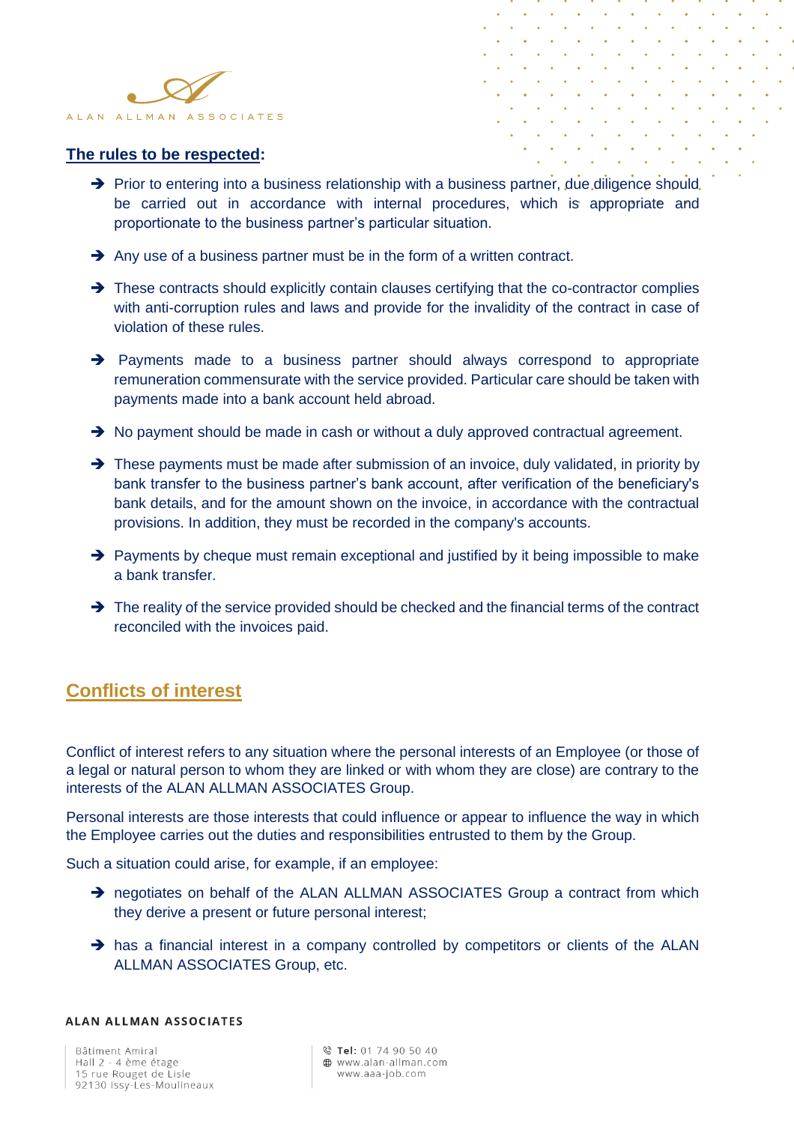



#### **The rules to be respected:**

- → Prior to entering into a business relationship with a business partner, due diligence should. be carried out in accordance with internal procedures, which is appropriate and proportionate to the business partner's particular situation.
- **→** Any use of a business partner must be in the form of a written contract.
- → These contracts should explicitly contain clauses certifying that the co-contractor complies with anti-corruption rules and laws and provide for the invalidity of the contract in case of violation of these rules.
- ➔ Payments made to a business partner should always correspond to appropriate remuneration commensurate with the service provided. Particular care should be taken with payments made into a bank account held abroad.
- ➔ No payment should be made in cash or without a duly approved contractual agreement.
- → These payments must be made after submission of an invoice, duly validated, in priority by bank transfer to the business partner's bank account, after verification of the beneficiary's bank details, and for the amount shown on the invoice, in accordance with the contractual provisions. In addition, they must be recorded in the company's accounts.
- ➔ Payments by cheque must remain exceptional and justified by it being impossible to make a bank transfer.
- ➔ The reality of the service provided should be checked and the financial terms of the contract reconciled with the invoices paid.

## **Conflicts of interest**

Conflict of interest refers to any situation where the personal interests of an Employee (or those of a legal or natural person to whom they are linked or with whom they are close) are contrary to the interests of the ALAN ALLMAN ASSOCIATES Group.

Personal interests are those interests that could influence or appear to influence the way in which the Employee carries out the duties and responsibilities entrusted to them by the Group.

Such a situation could arise, for example, if an employee:

- → negotiates on behalf of the ALAN ALLMAN ASSOCIATES Group a contract from which they derive a present or future personal interest;
- → has a financial interest in a company controlled by competitors or clients of the ALAN ALLMAN ASSOCIATES Group, etc.

#### **ALAN ALLMAN ASSOCIATES**

Bâtiment Amiral Hall 2 - 4 ème étage 15 rue Rouget de Lisle 92130 Issy-Les-Moulineaux © Tel: 01 74 90 50 40 **40** www.alan-allman.com www.aaa-job.com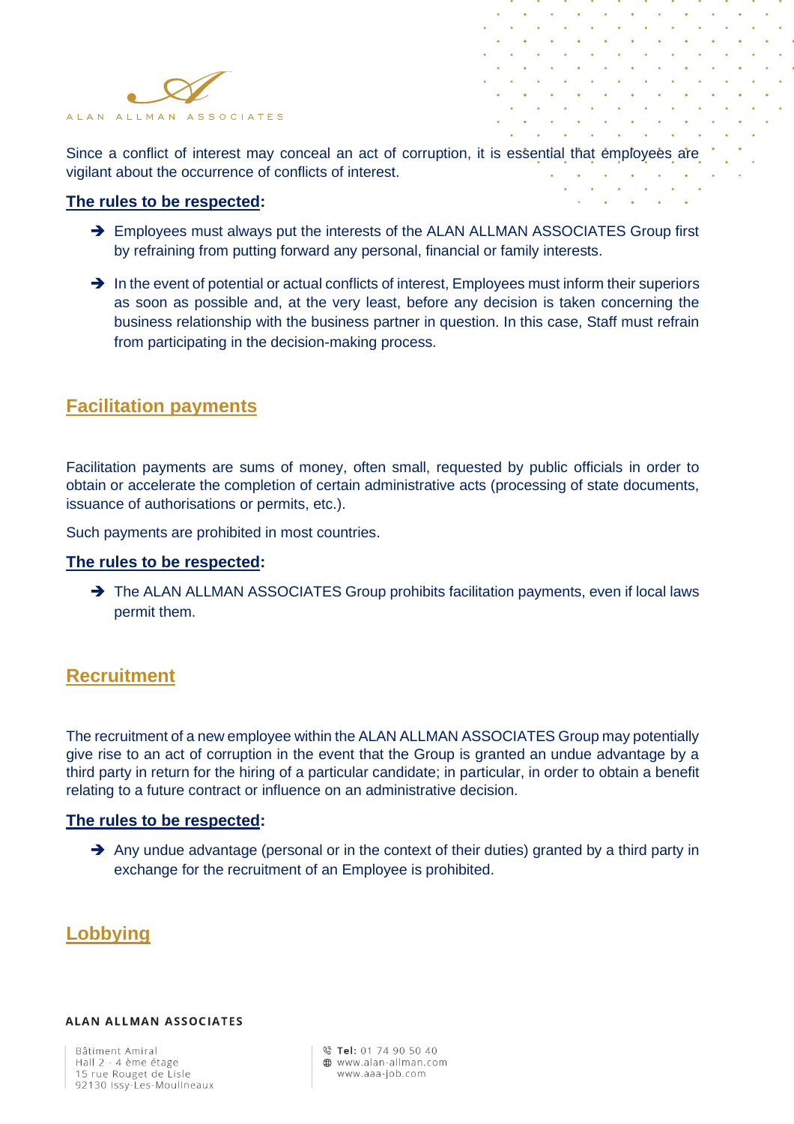

Since a conflict of interest may conceal an act of corruption, it is essential that employees are vigilant about the occurrence of conflicts of interest.

#### **The rules to be respected:**

- → Employees must always put the interests of the ALAN ALLMAN ASSOCIATES Group first by refraining from putting forward any personal, financial or family interests.
- ➔ In the event of potential or actual conflicts of interest, Employees must inform their superiors as soon as possible and, at the very least, before any decision is taken concerning the business relationship with the business partner in question. In this case, Staff must refrain from participating in the decision-making process.

## **Facilitation payments**

Facilitation payments are sums of money, often small, requested by public officials in order to obtain or accelerate the completion of certain administrative acts (processing of state documents, issuance of authorisations or permits, etc.).

Such payments are prohibited in most countries.

#### **The rules to be respected:**

→ The ALAN ALLMAN ASSOCIATES Group prohibits facilitation payments, even if local laws permit them.

## **Recruitment**

The recruitment of a new employee within the ALAN ALLMAN ASSOCIATES Group may potentially give rise to an act of corruption in the event that the Group is granted an undue advantage by a third party in return for the hiring of a particular candidate; in particular, in order to obtain a benefit relating to a future contract or influence on an administrative decision.

#### **The rules to be respected:**

→ Any undue advantage (personal or in the context of their duties) granted by a third party in exchange for the recruitment of an Employee is prohibited.

## **Lobbying**

#### **ALAN ALLMAN ASSOCIATES**

Bâtiment Amiral Hall 2 - 4 ème étage 15 rue Rouget de Lisle 92130 Issy-Les-Moulineaux

© Tel: 01 74 90 50 40 **40** www.alan-allman.com www.aaa-job.com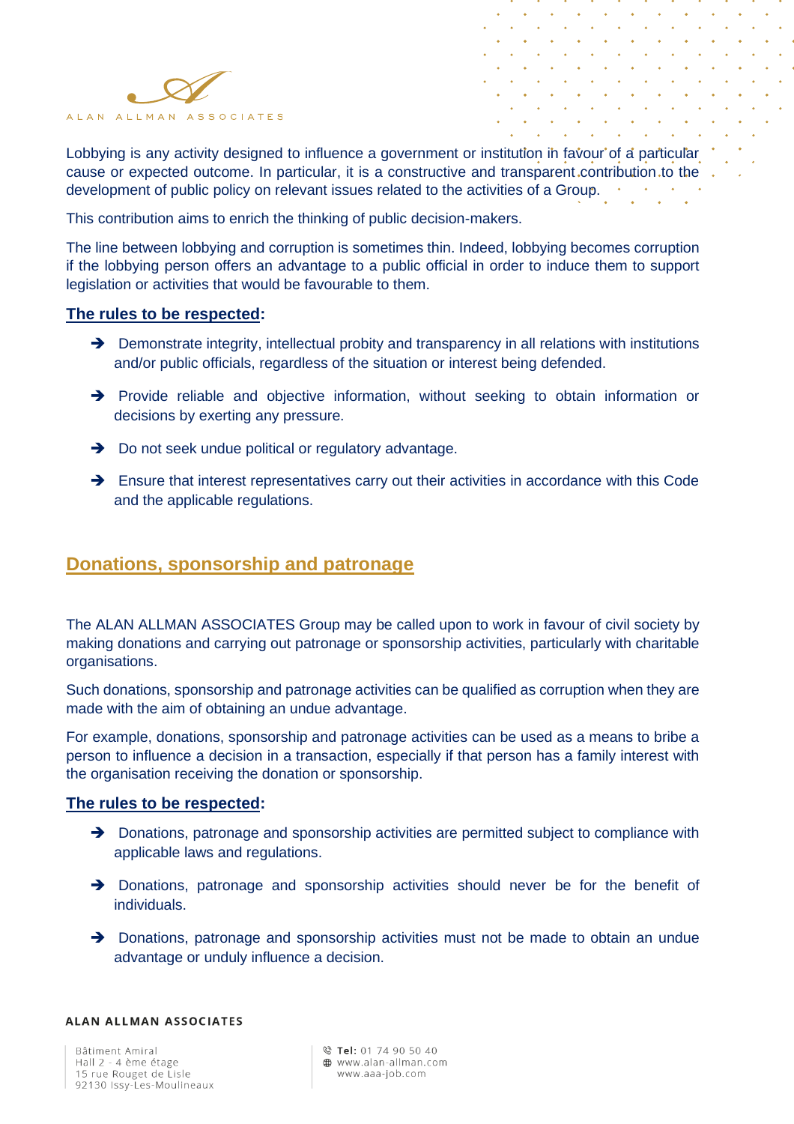

Lobbying is any activity designed to influence a government or institution in favour of a particular cause or expected outcome. In particular, it is a constructive and transparent contribution to the development of public policy on relevant issues related to the activities of a Group.

This contribution aims to enrich the thinking of public decision-makers.

The line between lobbying and corruption is sometimes thin. Indeed, lobbying becomes corruption if the lobbying person offers an advantage to a public official in order to induce them to support legislation or activities that would be favourable to them.

#### **The rules to be respected:**

- → Demonstrate integrity, intellectual probity and transparency in all relations with institutions and/or public officials, regardless of the situation or interest being defended.
- → Provide reliable and objective information, without seeking to obtain information or decisions by exerting any pressure.
- **→** Do not seek undue political or regulatory advantage.
- → Ensure that interest representatives carry out their activities in accordance with this Code and the applicable regulations.

## **Donations, sponsorship and patronage**

The ALAN ALLMAN ASSOCIATES Group may be called upon to work in favour of civil society by making donations and carrying out patronage or sponsorship activities, particularly with charitable organisations.

Such donations, sponsorship and patronage activities can be qualified as corruption when they are made with the aim of obtaining an undue advantage.

For example, donations, sponsorship and patronage activities can be used as a means to bribe a person to influence a decision in a transaction, especially if that person has a family interest with the organisation receiving the donation or sponsorship.

#### **The rules to be respected:**

- → Donations, patronage and sponsorship activities are permitted subject to compliance with applicable laws and regulations.
- → Donations, patronage and sponsorship activities should never be for the benefit of individuals.
- → Donations, patronage and sponsorship activities must not be made to obtain an undue advantage or unduly influence a decision.

#### **ALAN ALLMAN ASSOCIATES**

Bâtiment Amiral Hall 2 - 4 ème étage 15 rue Rouget de Lisle 92130 Issy-Les-Moulineaux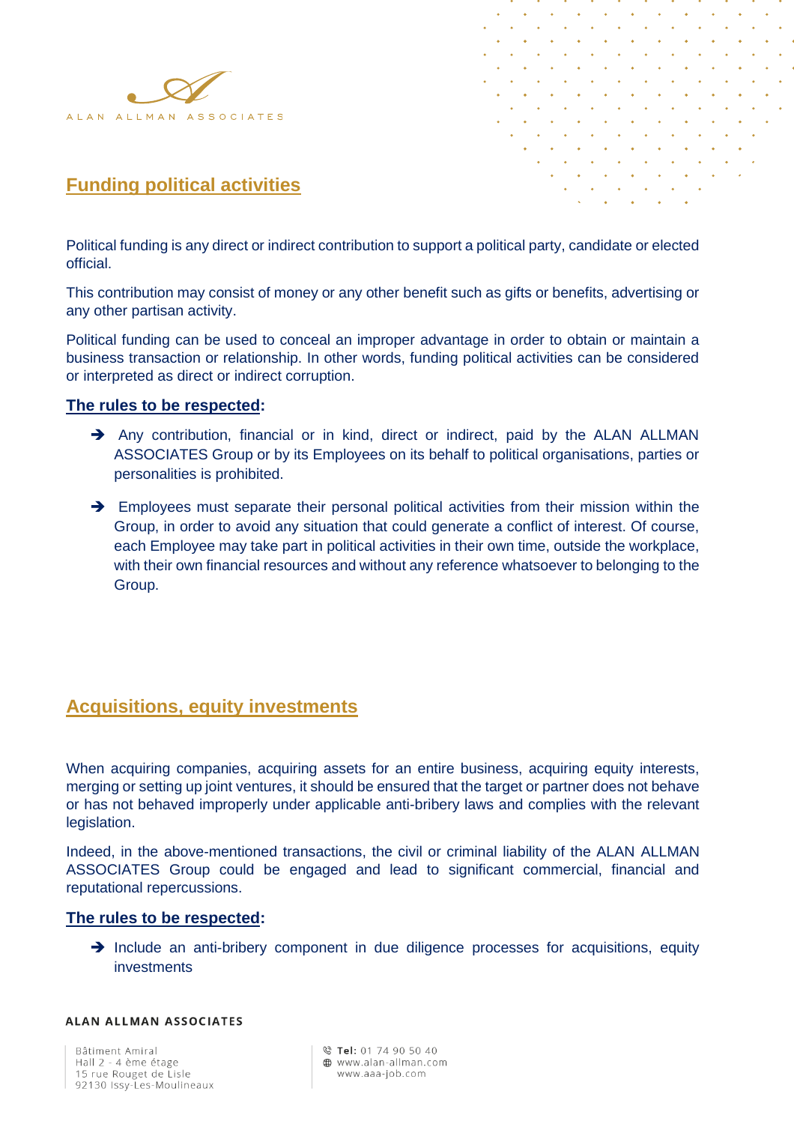



## **Funding political activities**

Political funding is any direct or indirect contribution to support a political party, candidate or elected official.

This contribution may consist of money or any other benefit such as gifts or benefits, advertising or any other partisan activity.

Political funding can be used to conceal an improper advantage in order to obtain or maintain a business transaction or relationship. In other words, funding political activities can be considered or interpreted as direct or indirect corruption.

#### **The rules to be respected:**

- → Any contribution, financial or in kind, direct or indirect, paid by the ALAN ALLMAN ASSOCIATES Group or by its Employees on its behalf to political organisations, parties or personalities is prohibited.
- → Employees must separate their personal political activities from their mission within the Group, in order to avoid any situation that could generate a conflict of interest. Of course, each Employee may take part in political activities in their own time, outside the workplace, with their own financial resources and without any reference whatsoever to belonging to the Group.

## **Acquisitions, equity investments**

When acquiring companies, acquiring assets for an entire business, acquiring equity interests, merging or setting up joint ventures, it should be ensured that the target or partner does not behave or has not behaved improperly under applicable anti-bribery laws and complies with the relevant legislation.

Indeed, in the above-mentioned transactions, the civil or criminal liability of the ALAN ALLMAN ASSOCIATES Group could be engaged and lead to significant commercial, financial and reputational repercussions.

#### **The rules to be respected:**

→ Include an anti-bribery component in due diligence processes for acquisitions, equity investments

#### **ALAN ALLMAN ASSOCIATES**

Bâtiment Amiral Hall 2 - 4 ème étage 15 rue Rouget de Lisle 92130 Issy-Les-Moulineaux © Tel: 01 74 90 50 40 **40** www.alan-allman.com www.aaa-job.com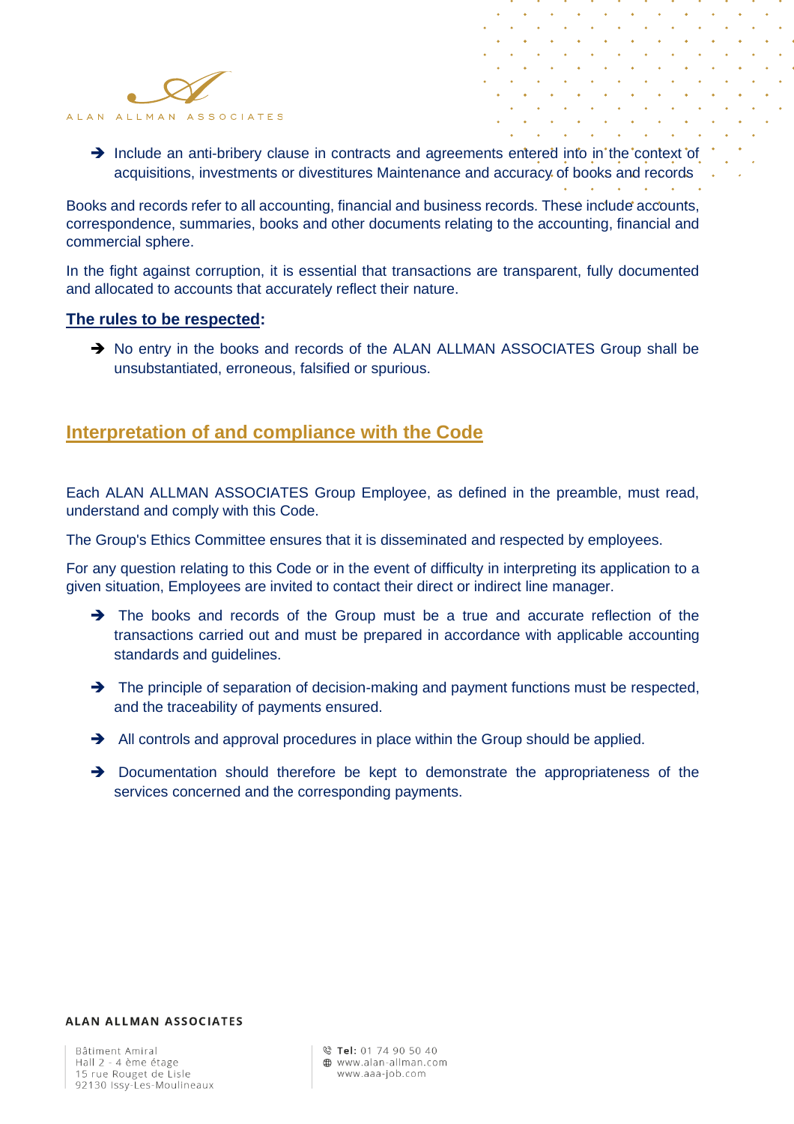

→ Include an anti-bribery clause in contracts and agreements entered into in the context of acquisitions, investments or divestitures Maintenance and accuracy of books and records

 $\alpha$ 

Books and records refer to all accounting, financial and business records. These include accounts, correspondence, summaries, books and other documents relating to the accounting, financial and commercial sphere.

In the fight against corruption, it is essential that transactions are transparent, fully documented and allocated to accounts that accurately reflect their nature.

#### **The rules to be respected:**

→ No entry in the books and records of the ALAN ALLMAN ASSOCIATES Group shall be unsubstantiated, erroneous, falsified or spurious.

## **Interpretation of and compliance with the Code**

Each ALAN ALLMAN ASSOCIATES Group Employee, as defined in the preamble, must read, understand and comply with this Code.

The Group's Ethics Committee ensures that it is disseminated and respected by employees.

For any question relating to this Code or in the event of difficulty in interpreting its application to a given situation, Employees are invited to contact their direct or indirect line manager.

- → The books and records of the Group must be a true and accurate reflection of the transactions carried out and must be prepared in accordance with applicable accounting standards and guidelines.
- ➔ The principle of separation of decision-making and payment functions must be respected, and the traceability of payments ensured.
- **→** All controls and approval procedures in place within the Group should be applied.
- → Documentation should therefore be kept to demonstrate the appropriateness of the services concerned and the corresponding payments.

#### **ALAN ALLMAN ASSOCIATES**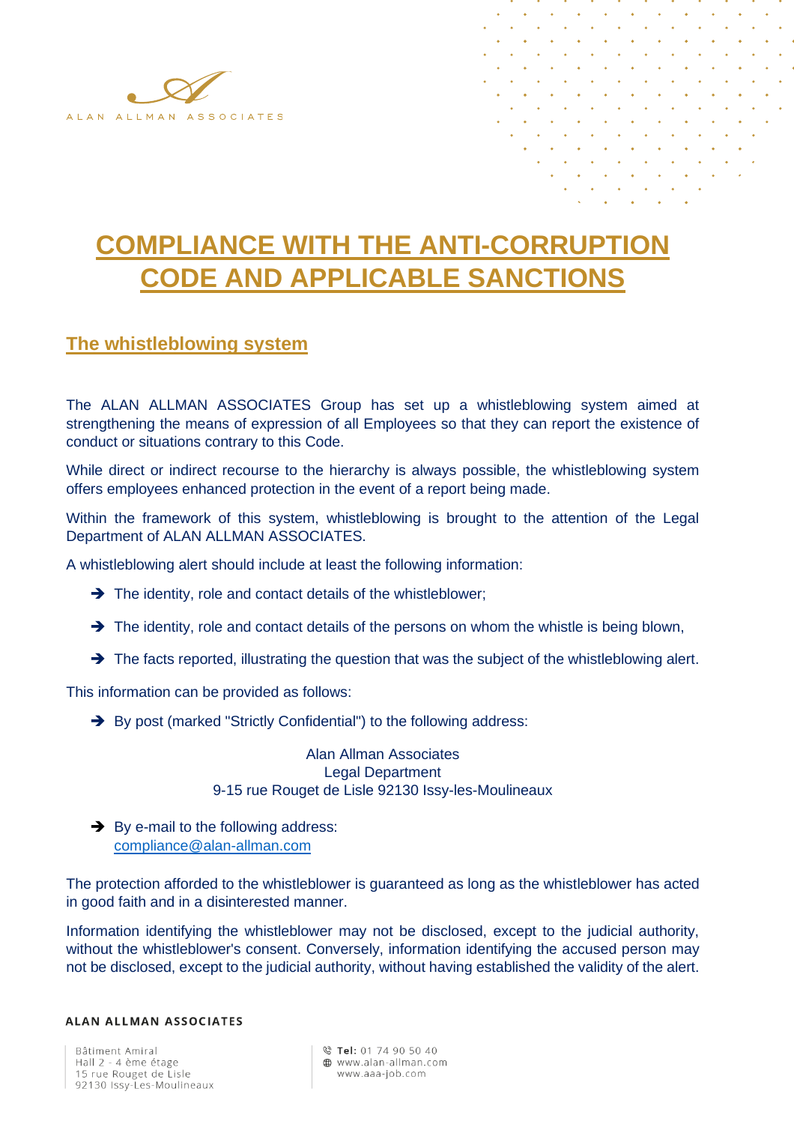

## **COMPLIANCE WITH THE ANTI-CORRUPTION CODE AND APPLICABLE SANCTIONS**

## **The whistleblowing system**

The ALAN ALLMAN ASSOCIATES Group has set up a whistleblowing system aimed at strengthening the means of expression of all Employees so that they can report the existence of conduct or situations contrary to this Code.

While direct or indirect recourse to the hierarchy is always possible, the whistleblowing system offers employees enhanced protection in the event of a report being made.

Within the framework of this system, whistleblowing is brought to the attention of the Legal Department of ALAN ALLMAN ASSOCIATES.

A whistleblowing alert should include at least the following information:

- ➔ The identity, role and contact details of the whistleblower;
- → The identity, role and contact details of the persons on whom the whistle is being blown,
- → The facts reported, illustrating the question that was the subject of the whistleblowing alert.

This information can be provided as follows:

→ By post (marked "Strictly Confidential") to the following address:

Alan Allman Associates Legal Department 9-15 rue Rouget de Lisle 92130 Issy-les-Moulineaux

**→**By e-mail to the following address: [compliance@alan-allman.com](mailto:compliance@alan-allman.com)

The protection afforded to the whistleblower is guaranteed as long as the whistleblower has acted in good faith and in a disinterested manner.

Information identifying the whistleblower may not be disclosed, except to the judicial authority, without the whistleblower's consent. Conversely, information identifying the accused person may not be disclosed, except to the judicial authority, without having established the validity of the alert.

#### **ALAN ALLMAN ASSOCIATES**